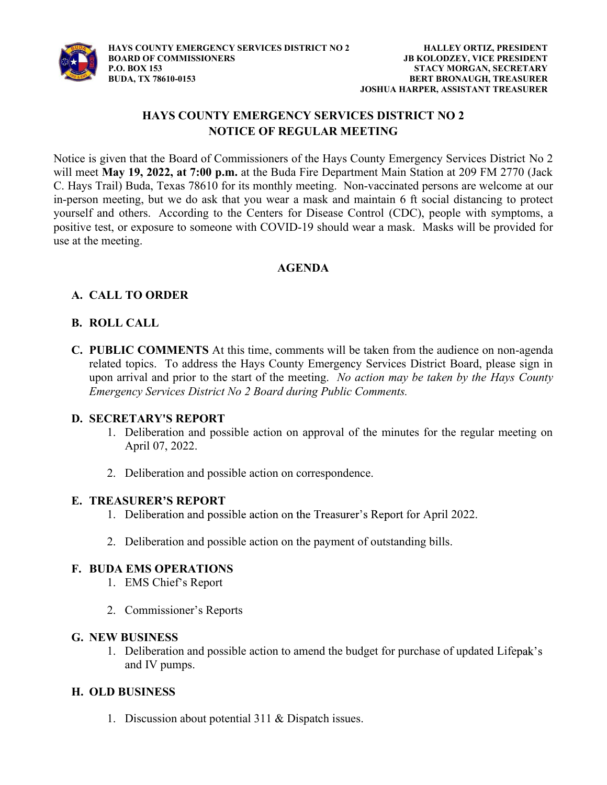

# HAYS COUNTY EMERGENCY SERVICES DISTRICT NO 2 NOTICE OF REGULAR MEETING

Notice is given that the Board of Commissioners of the Hays County Emergency Services District No 2 will meet May 19, 2022, at 7:00 p.m. at the Buda Fire Department Main Station at 209 FM 2770 (Jack C. Hays Trail) Buda, Texas 78610 for its monthly meeting. Non-vaccinated persons are welcome at our in-person meeting, but we do ask that you wear a mask and maintain 6 ft social distancing to protect yourself and others. According to the Centers for Disease Control (CDC), people with symptoms, a positive test, or exposure to someone with COVID-19 should wear a mask. Masks will be provided for use at the meeting.

#### AGENDA

## A. CALL TO ORDER

### B. ROLL CALL

C. PUBLIC COMMENTS At this time, comments will be taken from the audience on non-agenda related topics. To address the Hays County Emergency Services District Board, please sign in upon arrival and prior to the start of the meeting. No action may be taken by the Hays County Emergency Services District No 2 Board during Public Comments.

#### D. SECRETARY'S REPORT

- 1. Deliberation and possible action on approval of the minutes for the regular meeting on April 07, 2022.
- 2. Deliberation and possible action on correspondence.

#### E. TREASURER'S REPORT

- 1. Deliberation and possible action on the Treasurer's Report for April 2022.
- 2. Deliberation and possible action on the payment of outstanding bills.

#### F. BUDA EMS OPERATIONS

- 1. EMS Chief s Report
- 2. Commissioner's Reports

#### G. NEW BUSINESS

1. Deliberation and possible action to amend the budget for purchase of updated Life and IV pumps.

### H. OLD BUSINESS

1. Discussion about potential 311 & Dispatch issues.